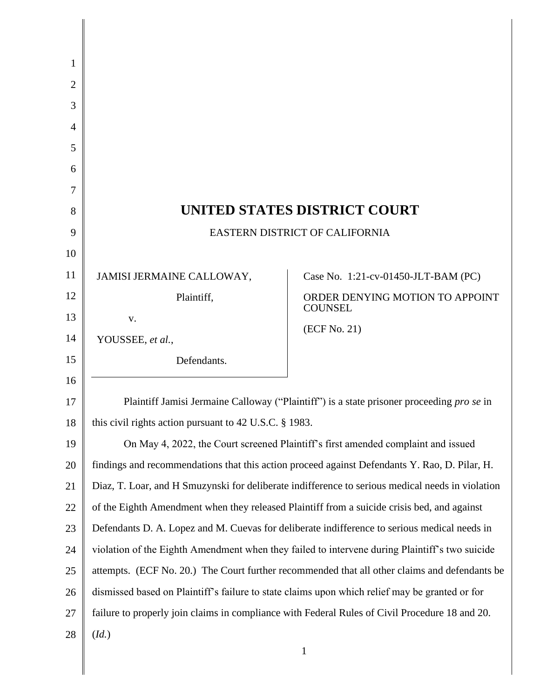| 1  |                                                                                                  |                                                   |
|----|--------------------------------------------------------------------------------------------------|---------------------------------------------------|
| 2  |                                                                                                  |                                                   |
| 3  |                                                                                                  |                                                   |
| 4  |                                                                                                  |                                                   |
| 5  |                                                                                                  |                                                   |
| 6  |                                                                                                  |                                                   |
| 7  |                                                                                                  |                                                   |
| 8  | UNITED STATES DISTRICT COURT                                                                     |                                                   |
| 9  | <b>EASTERN DISTRICT OF CALIFORNIA</b>                                                            |                                                   |
| 10 |                                                                                                  |                                                   |
| 11 | JAMISI JERMAINE CALLOWAY,                                                                        | Case No. 1:21-cv-01450-JLT-BAM (PC)               |
| 12 | Plaintiff,                                                                                       | ORDER DENYING MOTION TO APPOINT<br><b>COUNSEL</b> |
| 13 | V.                                                                                               |                                                   |
| 14 | YOUSSEE, et al.,                                                                                 | (ECF No. 21)                                      |
| 15 | Defendants.                                                                                      |                                                   |
| 16 |                                                                                                  |                                                   |
| 17 | Plaintiff Jamisi Jermaine Calloway ("Plaintiff") is a state prisoner proceeding pro se in        |                                                   |
| 18 | this civil rights action pursuant to 42 U.S.C. § 1983.                                           |                                                   |
| 19 | On May 4, 2022, the Court screened Plaintiff's first amended complaint and issued                |                                                   |
| 20 | findings and recommendations that this action proceed against Defendants Y. Rao, D. Pilar, H.    |                                                   |
| 21 | Diaz, T. Loar, and H Smuzynski for deliberate indifference to serious medical needs in violation |                                                   |
| 22 | of the Eighth Amendment when they released Plaintiff from a suicide crisis bed, and against      |                                                   |
| 23 | Defendants D. A. Lopez and M. Cuevas for deliberate indifference to serious medical needs in     |                                                   |
| 24 | violation of the Eighth Amendment when they failed to intervene during Plaintiff's two suicide   |                                                   |
| 25 | attempts. (ECF No. 20.) The Court further recommended that all other claims and defendants be    |                                                   |
| 26 | dismissed based on Plaintiff's failure to state claims upon which relief may be granted or for   |                                                   |
| 27 | failure to properly join claims in compliance with Federal Rules of Civil Procedure 18 and 20.   |                                                   |
| 28 | (Id.)                                                                                            |                                                   |
|    |                                                                                                  | 1                                                 |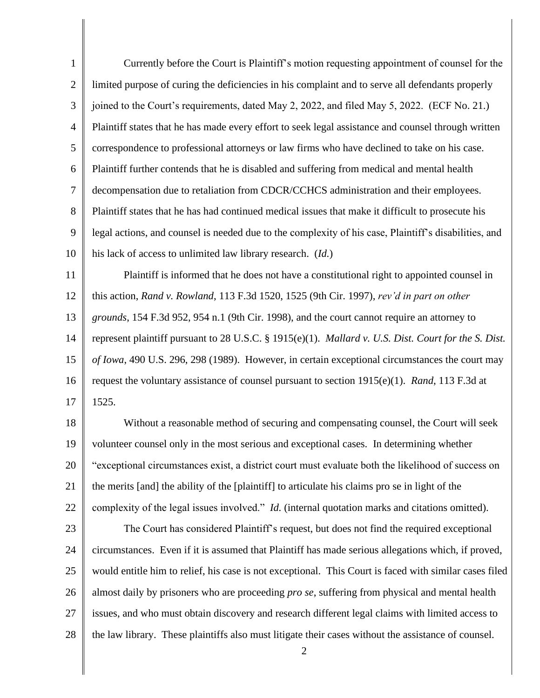1 2 3 4 5 6 7 8 9 10 11 12 13 14 15 16 17 18 19 20 21 22 23 24 25 26 27 28 2 Currently before the Court is Plaintiff's motion requesting appointment of counsel for the limited purpose of curing the deficiencies in his complaint and to serve all defendants properly joined to the Court's requirements, dated May 2, 2022, and filed May 5, 2022. (ECF No. 21.) Plaintiff states that he has made every effort to seek legal assistance and counsel through written correspondence to professional attorneys or law firms who have declined to take on his case. Plaintiff further contends that he is disabled and suffering from medical and mental health decompensation due to retaliation from CDCR/CCHCS administration and their employees. Plaintiff states that he has had continued medical issues that make it difficult to prosecute his legal actions, and counsel is needed due to the complexity of his case, Plaintiff's disabilities, and his lack of access to unlimited law library research. (*Id.*) Plaintiff is informed that he does not have a constitutional right to appointed counsel in this action, *Rand v. Rowland*, 113 F.3d 1520, 1525 (9th Cir. 1997), *rev'd in part on other grounds*, 154 F.3d 952, 954 n.1 (9th Cir. 1998), and the court cannot require an attorney to represent plaintiff pursuant to 28 U.S.C. § 1915(e)(1). *Mallard v. U.S. Dist. Court for the S. Dist. of Iowa*, 490 U.S. 296, 298 (1989). However, in certain exceptional circumstances the court may request the voluntary assistance of counsel pursuant to section 1915(e)(1). *Rand*, 113 F.3d at 1525. Without a reasonable method of securing and compensating counsel, the Court will seek volunteer counsel only in the most serious and exceptional cases. In determining whether "exceptional circumstances exist, a district court must evaluate both the likelihood of success on the merits [and] the ability of the [plaintiff] to articulate his claims pro se in light of the complexity of the legal issues involved." *Id.* (internal quotation marks and citations omitted). The Court has considered Plaintiff's request, but does not find the required exceptional circumstances. Even if it is assumed that Plaintiff has made serious allegations which, if proved, would entitle him to relief, his case is not exceptional. This Court is faced with similar cases filed almost daily by prisoners who are proceeding *pro se*, suffering from physical and mental health issues, and who must obtain discovery and research different legal claims with limited access to the law library. These plaintiffs also must litigate their cases without the assistance of counsel.